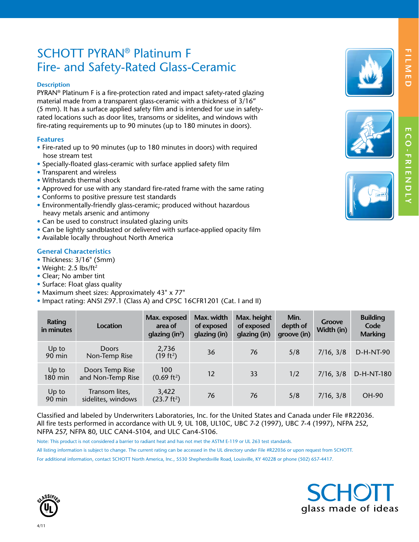# SCHOTT PYRAN® Platinum F Fire- and Safety-Rated Glass-Ceramic

#### **Description**

PYRAN® Platinum F is a fire-protection rated and impact safety-rated glazing material made from a transparent glass-ceramic with a thickness of 3/16" (5 mm). It has a surface applied safety film and is intended for use in safetyrated locations such as door lites, transoms or sidelites, and windows with fire-rating requirements up to 90 minutes (up to 180 minutes in doors).

# **Features**

- Fire-rated up to 90 minutes (up to 180 minutes in doors) with required hose stream test
- Specially-floated glass-ceramic with surface applied safety film
- Transparent and wireless
- Withstands thermal shock
- Approved for use with any standard fire-rated frame with the same rating
- Conforms to positive pressure test standards
- Environmentally-friendly glass-ceramic; produced without hazardous heavy metals arsenic and antimony
- Can be used to construct insulated glazing units
- Can be lightly sandblasted or delivered with surface-applied opacity film
- Available locally throughout North America

# **General Characteristics**

- Thickness: 3/16" (5mm)
- Weight: 2.5 lbs/ft<sup>2</sup>
- Clear; No amber tint
- Surface: Float glass quality
- Maximum sheet sizes: Approximately 43" x 77"
- Impact rating: ANSI Z97.1 (Class A) and CPSC 16CFR1201 (Cat. I and II)

| Rating<br>in minutes | Location                             | Max. exposed<br>area of<br>glazing $(in^2)$ | Max. width<br>of exposed<br>glazing (in) | Max. height<br>of exposed<br>glazing (in) | Min.<br>depth of<br>groove (in) | Groove<br>Width (in) | <b>Building</b><br>Code<br><b>Marking</b> |
|----------------------|--------------------------------------|---------------------------------------------|------------------------------------------|-------------------------------------------|---------------------------------|----------------------|-------------------------------------------|
| Up to<br>90 min      | <b>Doors</b><br>Non-Temp Rise        | 2,736<br>(19 ft <sup>2</sup> )              | 36                                       | 76                                        | 5/8                             | 7/16, 3/8            | D-H-NT-90                                 |
| Up to<br>180 min     | Doors Temp Rise<br>and Non-Temp Rise | 100<br>$(0.69 \text{ ft}^2)$                | 12                                       | 33                                        | 1/2                             | 7/16, 3/8            | D-H-NT-180                                |
| Up to<br>$90$ min    | Transom lites,<br>sidelites, windows | 3,422<br>(23.7 ft <sup>2</sup> )            | 76                                       | 76                                        | 5/8                             | 7/16, 3/8            | <b>OH-90</b>                              |

Classified and labeled by Underwriters Laboratories, Inc. for the United States and Canada under File #R22036. All fire tests performed in accordance with UL 9, UL 10B, UL10C, UBC 7-2 (1997), UBC 7-4 (1997), NFPA 252, NFPA 257, NFPA 80, ULC CAN4-5104, and ULC Can4-5106.

Note: This product is not considered a barrier to radiant heat and has not met the ASTM E-119 or UL 263 test standards.

All listing information is subject to change. The current rating can be accessed in the UL directory under File #R22036 or upon request from SCHOTT. For additional information, contact SCHOTT North America, Inc., 5530 Shepherdsville Road, Louisville, KY 40228 or phone (502) 657-4417.





**F**

**E**

 **C O - F R I E N D LY**